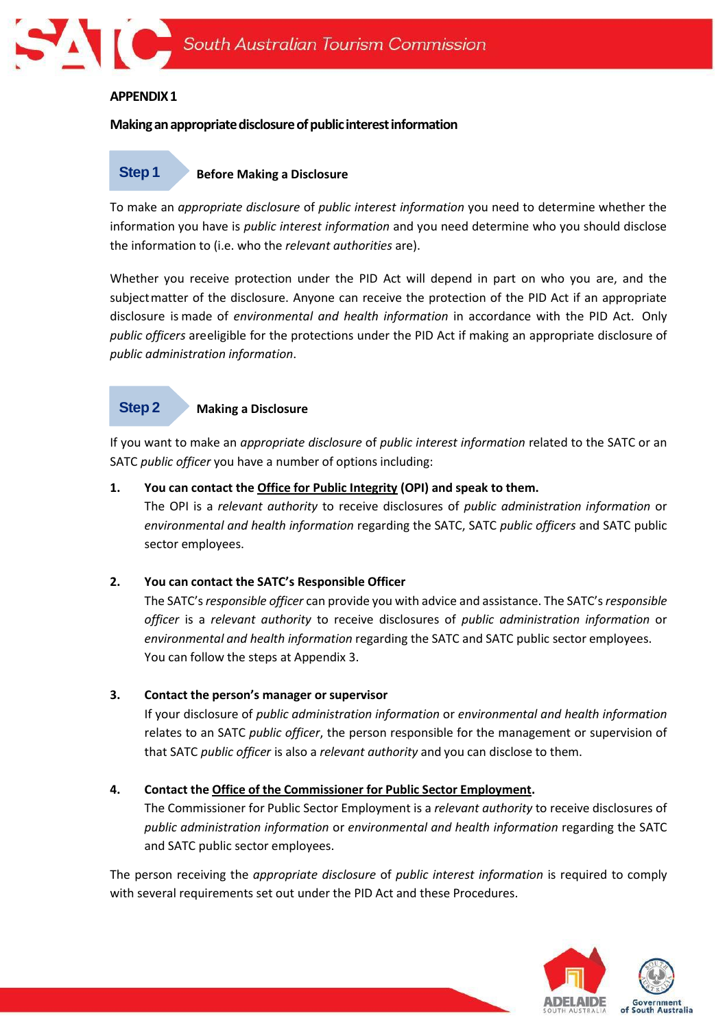

## **APPENDIX1**

## **Makinganappropriatedisclosureofpublicinterestinformation**

#### **Before Making a Disclosure Step 1**

To make an *appropriate disclosure* of *public interest information* you need to determine whether the information you have is *public interest information* and you need determine who you should disclose the information to (i.e. who the *relevant authorities* are).

Whether you receive protection under the PID Act will depend in part on who you are, and the subjectmatter of the disclosure. Anyone can receive the protection of the PID Act if an appropriate disclosure is made of *environmental and health information* in accordance with the PID Act. Only *public officers* areeligible for the protections under the PID Act if making an appropriate disclosure of *public administration information*.

#### **Step 2**

#### **Making a Disclosure**

If you want to make an *appropriate disclosure* of *public interest information* related to the SATC or an SATC *public officer* you have a number of options including:

#### **1. You can contact th[e Office for Public Integrity](https://www.publicintegrity.sa.gov.au/) (OPI) and speak to them.**

The OPI is a *relevant authority* to receive disclosures of *public administration information* or *environmental and health information* regarding the SATC, SATC *public officers* and SATC public sector employees.

#### **2. You can contact the SATC's Responsible Officer**

The SATC's*responsible officer* can provide you with advice and assistance. The SATC's*responsible officer* is a *relevant authority* to receive disclosures of *public administration information* or *environmental and health information* regarding the SATC and SATC public sector employees. You can follow the steps at Appendix 3.

#### **3. Contact the person's manager or supervisor**

If your disclosure of *public administration information* or *environmental and health information* relates to an SATC *public officer*, the person responsible for the management or supervision of that SATC *public officer* is also a *relevant authority* and you can disclose to them.

#### **4. Contact the Office of the [Commissioner](https://publicsector.sa.gov.au/about/contact/) for Public Sector Employment.**

The Commissioner for Public Sector Employment is a *relevant authority* to receive disclosures of *public administration information* or *environmental and health information* regarding the SATC and SATC public sector employees.

The person receiving the *appropriate disclosure* of *public interest information* is required to comply with several requirements set out under the PID Act and these Procedures.

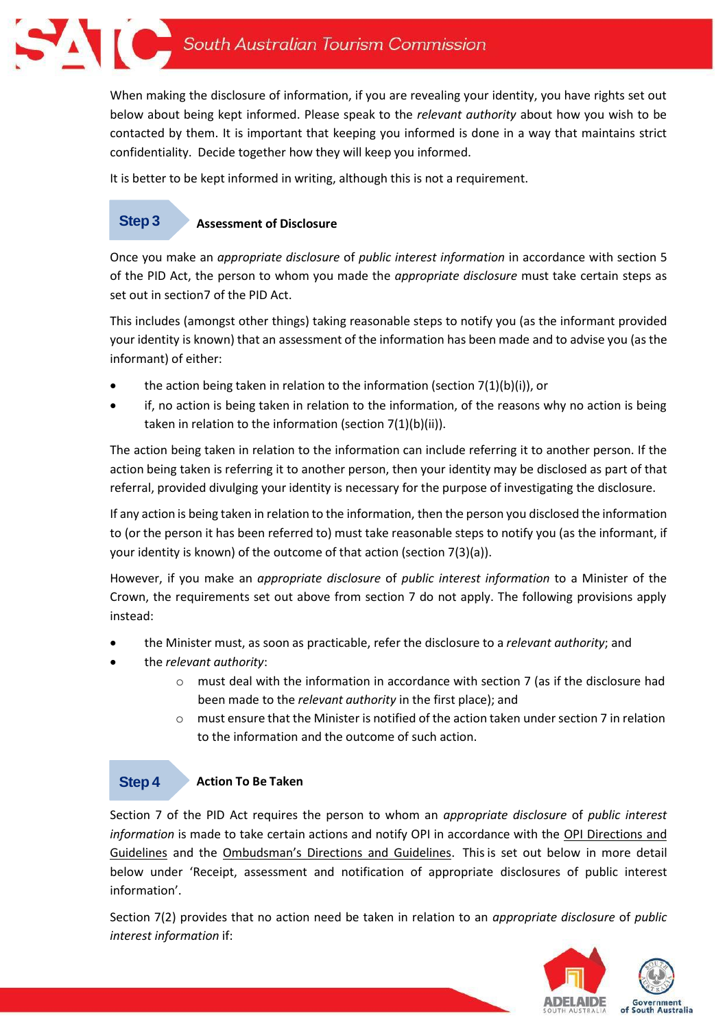When making the disclosure of information, if you are revealing your identity, you have rights set out below about being kept informed. Please speak to the *relevant authority* about how you wish to be contacted by them. It is important that keeping you informed is done in a way that maintains strict confidentiality. Decide together how they will keep you informed.

It is better to be kept informed in writing, although this is not a requirement.

#### **Assessment of Disclosure Step 3**

Once you make an *appropriate disclosure* of *public interest information* in accordance with section 5 of the PID Act, the person to whom you made the *appropriate disclosure* must take certain steps as set out in section7 of the PID Act.

This includes (amongst other things) taking reasonable steps to notify you (as the informant provided your identity is known) that an assessment of the information has been made and to advise you (as the informant) of either:

- the action being taken in relation to the information (section  $7(1)(b)(i)$ ), or
- if, no action is being taken in relation to the information, of the reasons why no action is being taken in relation to the information (section 7(1)(b)(ii)).

The action being taken in relation to the information can include referring it to another person. If the action being taken is referring it to another person, then your identity may be disclosed as part of that referral, provided divulging your identity is necessary for the purpose of investigating the disclosure.

If any action is being taken in relation to the information, then the person you disclosed the information to (or the person it has been referred to) must take reasonable steps to notify you (as the informant, if your identity is known) of the outcome of that action (section 7(3)(a)).

However, if you make an *appropriate disclosure* of *public interest information* to a Minister of the Crown, the requirements set out above from section 7 do not apply. The following provisions apply instead:

- the Minister must, as soon as practicable, refer the disclosure to a *relevant authority*; and
- the *relevant authority*:
	- $\circ$  must deal with the information in accordance with section 7 (as if the disclosure had been made to the *relevant authority* in the first place); and
	- $\circ$  must ensure that the Minister is notified of the action taken under section 7 in relation to the information and the outcome of such action.

#### **Action To Be Taken Step 4**

Section 7 of the PID Act requires the person to whom an *appropriate disclosure* of *public interest information* is made to take certain actions and notify OPI in accordance with the [OPI Directions and](https://www.publicintegrity.sa.gov.au/directions-and-guidelines)  [Guidelines](https://www.publicintegrity.sa.gov.au/directions-and-guidelines) and the [Ombudsman's Directions and Guidelines](https://www.ombudsman.sa.gov.au/publications/directions-and-guidelines). Thisis set out below in more detail below under 'Receipt, assessment and notification of appropriate disclosures of public interest information'.

Section 7(2) provides that no action need be taken in relation to an *appropriate disclosure* of *public interest information* if:

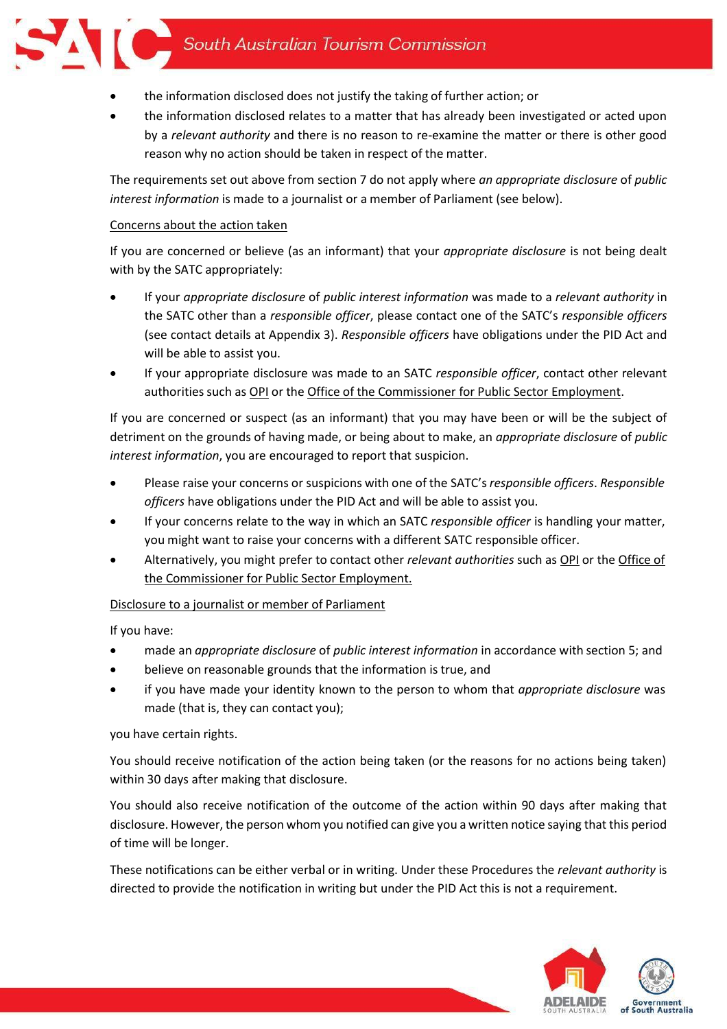# South Australian Tourism Commission

- the information disclosed does not justify the taking of further action; or
- the information disclosed relates to a matter that has already been investigated or acted upon by a *relevant authority* and there is no reason to re-examine the matter or there is other good reason why no action should be taken in respect of the matter.

The requirements set out above from section 7 do not apply where *an appropriate disclosure* of *public interest information* is made to a journalist or a member of Parliament (see below).

## Concerns about the action taken

If you are concerned or believe (as an informant) that your *appropriate disclosure* is not being dealt with by the SATC appropriately:

- If your *appropriate disclosure* of *public interest information* was made to a *relevant authority* in the SATC other than a *responsible officer*, please contact one of the SATC's *responsible officers* (see contact details at Appendix 3). *Responsible officers* have obligations under the PID Act and will be able to assist you.
- If your appropriate disclosure was made to an SATC *responsible officer*, contact other relevant authorities such as [OPI](https://www.publicintegrity.sa.gov.au/) or the Office of the Commissioner for Public [Sector Employment.](https://publicsector.sa.gov.au/about/contact/)

If you are concerned or suspect (as an informant) that you may have been or will be the subject of detriment on the grounds of having made, or being about to make, an *appropriate disclosure* of *public interest information*, you are encouraged to report that suspicion.

- Please raise your concerns or suspicions with one of the SATC's*responsible officers*. *Responsible officers* have obligations under the PID Act and will be able to assist you.
- If your concerns relate to the way in which an SATC *responsible officer* is handling your matter, you might want to raise your concerns with a different SATC responsible officer.
- Alternatively, you might prefer to contact other *relevant authorities* such a[s OPI](https://www.publicintegrity.sa.gov.au/) or the [Office of](https://publicsector.sa.gov.au/about/contact/) the [Commissioner](https://publicsector.sa.gov.au/about/contact/) for Public Sector Employment.

# Disclosure to a journalist or member of Parliament

If you have:

- made an *appropriate disclosure* of *public interest information* in accordance with section 5; and
- believe on reasonable grounds that the information is true, and
- if you have made your identity known to the person to whom that *appropriate disclosure* was made (that is, they can contact you);

# you have certain rights.

You should receive notification of the action being taken (or the reasons for no actions being taken) within 30 days after making that disclosure.

You should also receive notification of the outcome of the action within 90 days after making that disclosure. However, the person whom you notified can give you a written notice saying that this period of time will be longer.

These notifications can be either verbal or in writing. Under these Procedures the *relevant authority* is directed to provide the notification in writing but under the PID Act this is not a requirement.

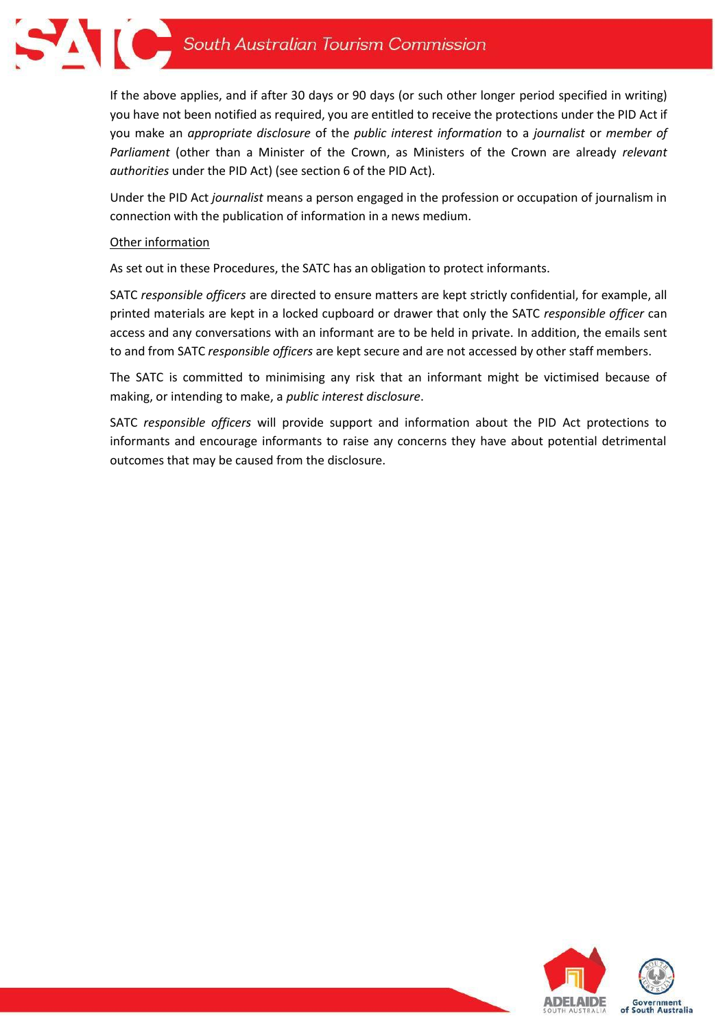

If the above applies, and if after 30 days or 90 days (or such other longer period specified in writing) you have not been notified as required, you are entitled to receive the protections under the PID Act if you make an *appropriate disclosure* of the *public interest information* to a *journalist* or *member of Parliament* (other than a Minister of the Crown, as Ministers of the Crown are already *relevant authorities* under the PID Act) (see section 6 of the PID Act).

Under the PID Act *journalist* means a person engaged in the profession or occupation of journalism in connection with the publication of information in a news medium.

## Other information

As set out in these Procedures, the SATC has an obligation to protect informants.

SATC *responsible officers* are directed to ensure matters are kept strictly confidential, for example, all printed materials are kept in a locked cupboard or drawer that only the SATC *responsible officer* can access and any conversations with an informant are to be held in private. In addition, the emails sent to and from SATC *responsible officers* are kept secure and are not accessed by other staff members.

The SATC is committed to minimising any risk that an informant might be victimised because of making, or intending to make, a *public interest disclosure*.

SATC *responsible officers* will provide support and information about the PID Act protections to informants and encourage informants to raise any concerns they have about potential detrimental outcomes that may be caused from the disclosure.

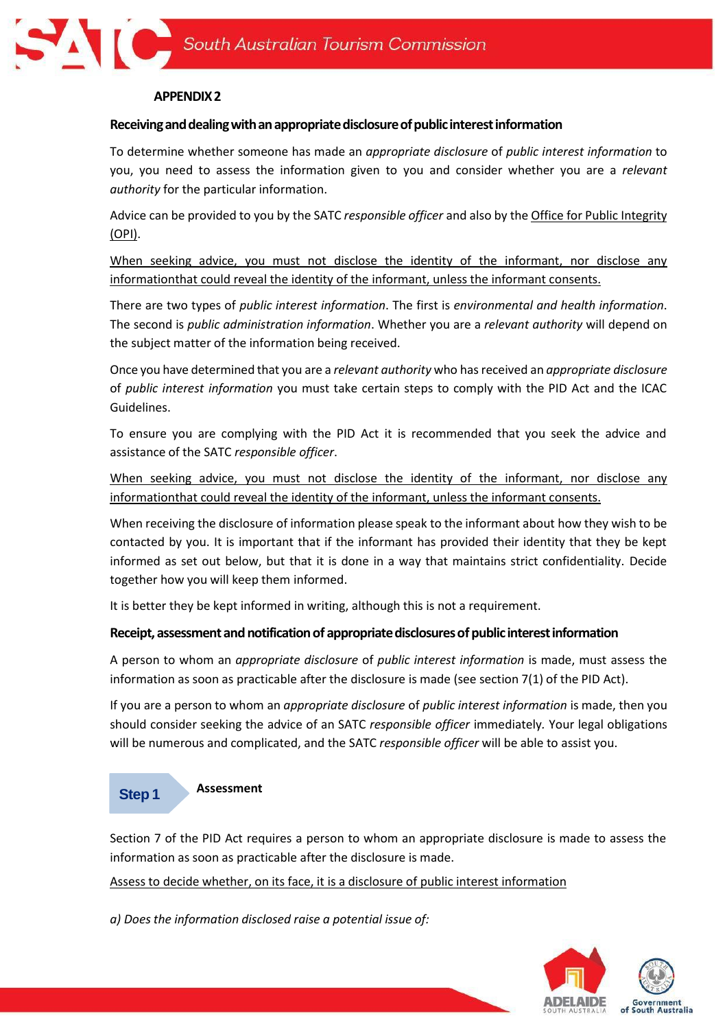## **APPENDIX2**

### **Receivinganddealingwithanappropriatedisclosureofpublicinterestinformation**

To determine whether someone has made an *appropriate disclosure* of *public interest information* to you, you need to assess the information given to you and consider whether you are a *relevant authority* for the particular information.

Advice can be provided to you by the SATC *responsible officer* and also by the Office for Public [Integrity](https://www.publicintegrity.sa.gov.au/) [\(OPI\).](https://icac.sa.gov.au/opi)

When seeking advice, you must not disclose the identity of the informant, nor disclose any informationthat could reveal the identity of the informant, unless the informant consents.

There are two types of *public interest information*. The first is *environmental and health information*. The second is *public administration information*. Whether you are a *relevant authority* will depend on the subject matter of the information being received.

Once you have determined that you are a *relevant authority* who hasreceived an *appropriate disclosure* of *public interest information* you must take certain steps to comply with the PID Act and the ICAC Guidelines.

To ensure you are complying with the PID Act it is recommended that you seek the advice and assistance of the SATC *responsible officer*.

When seeking advice, you must not disclose the identity of the informant, nor disclose any informationthat could reveal the identity of the informant, unless the informant consents.

When receiving the disclosure of information please speak to the informant about how they wish to be contacted by you. It is important that if the informant has provided their identity that they be kept informed as set out below, but that it is done in a way that maintains strict confidentiality. Decide together how you will keep them informed.

It is better they be kept informed in writing, although this is not a requirement.

# **Receipt,assessmentandnotificationof appropriatedisclosuresofpublicinterestinformation**

A person to whom an *appropriate disclosure* of *public interest information* is made, must assess the information as soon as practicable after the disclosure is made (see section 7(1) of the PID Act).

If you are a person to whom an *appropriate disclosure* of *public interest information* is made, then you should consider seeking the advice of an SATC *responsible officer* immediately*.* Your legal obligations will be numerous and complicated, and the SATC *responsible officer* will be able to assist you.

#### **Assessment Step 1**

Section 7 of the PID Act requires a person to whom an appropriate disclosure is made to assess the information as soon as practicable after the disclosure is made.

Assess to decide whether, on its face, it is a disclosure of public interest information

*a) Does the information disclosed raise a potential issue of:*

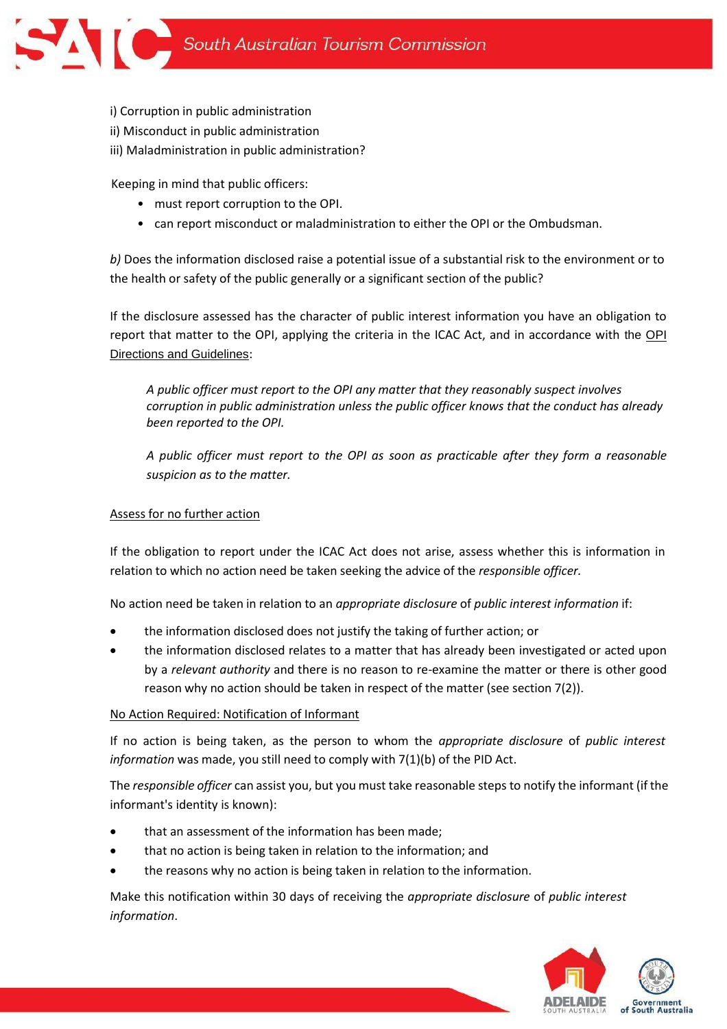i) Corruption in public administration ii) Misconduct in public administration iii) Maladministration in public administration?

Keeping in mind that public officers:

- must report corruption to the OPI.
- can report misconduct or maladministration to either the OPI or the Ombudsman.

*b)* Does the information disclosed raise a potential issue of a substantial risk to the environment or to the health or safety of the public generally or a significant section of the public?

If the disclosure assessed has the character of public interest information you have an obligation to report that matter to the OPI, applying the criteria in the ICAC Act, and in accordance with the [OPI](https://www.publicintegrity.sa.gov.au/directions-and-guidelines)  [Directions and Guidelines](https://www.publicintegrity.sa.gov.au/directions-and-guidelines):

*A public officer must report to the OPI any matter that they reasonably suspect involves corruption in public administration unless the public officer knows that the conduct has already been reported to the OPI.* 

*A public officer must report to the OPI as soon as practicable after they form a reasonable suspicion as to the matter.* 

#### Assess for no further action

If the obligation to report under the ICAC Act does not arise, assess whether this is information in relation to which no action need be taken seeking the advice of the *responsible officer.*

No action need be taken in relation to an *appropriate disclosure* of *public interest information* if:

- the information disclosed does not justify the taking of further action; or
- the information disclosed relates to a matter that has already been investigated or acted upon by a *relevant authority* and there is no reason to re-examine the matter or there is other good reason why no action should be taken in respect of the matter (see section 7(2)).

#### No Action Required: Notification of Informant

If no action is being taken, as the person to whom the *appropriate disclosure* of *public interest information* was made, you still need to comply with 7(1)(b) of the PID Act.

The *responsible officer* can assist you, but you must take reasonable stepsto notify the informant (if the informant's identity is known):

- that an assessment of the information has been made;
- that no action is being taken in relation to the information; and
- the reasons why no action is being taken in relation to the information.

Make this notification within 30 days of receiving the *appropriate disclosure* of *public interest information*.

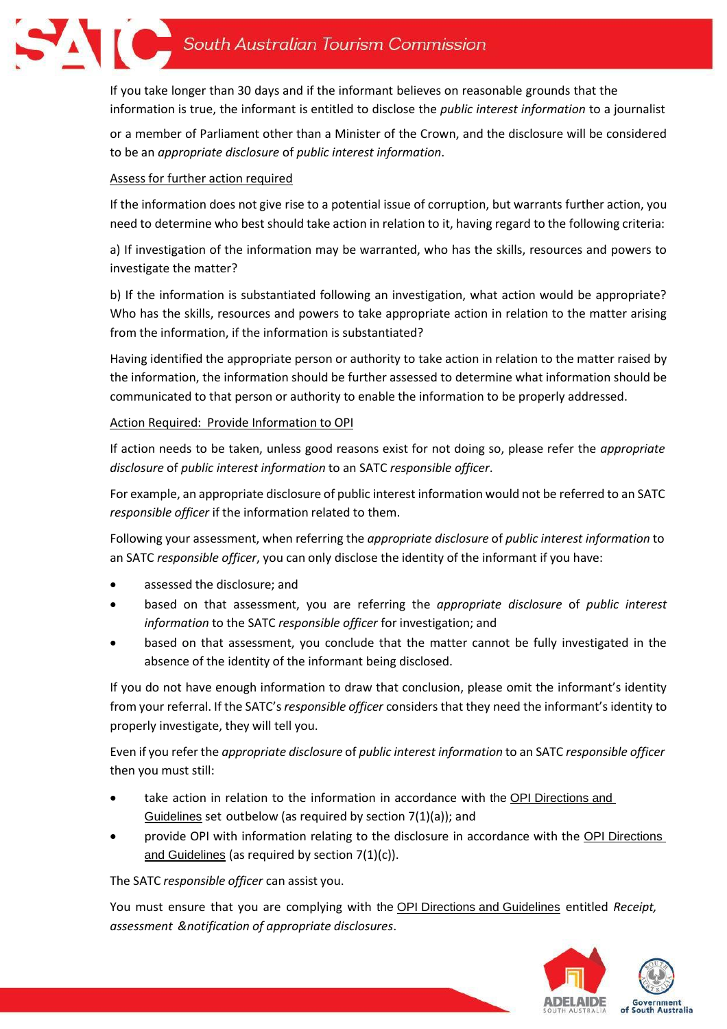

If you take longer than 30 days and if the informant believes on reasonable grounds that the information is true, the informant is entitled to disclose the *public interest information* to a journalist

or a member of Parliament other than a Minister of the Crown, and the disclosure will be considered to be an *appropriate disclosure* of *public interest information*.

# Assess for further action required

If the information does not give rise to a potential issue of corruption, but warrants further action, you need to determine who best should take action in relation to it, having regard to the following criteria:

a) If investigation of the information may be warranted, who has the skills, resources and powers to investigate the matter?

b) If the information is substantiated following an investigation, what action would be appropriate? Who has the skills, resources and powers to take appropriate action in relation to the matter arising from the information, if the information is substantiated?

Having identified the appropriate person or authority to take action in relation to the matter raised by the information, the information should be further assessed to determine what information should be communicated to that person or authority to enable the information to be properly addressed.

# Action Required: Provide Information to OPI

If action needs to be taken, unless good reasons exist for not doing so, please refer the *appropriate disclosure* of *public interest information* to an SATC *responsible officer*.

For example, an appropriate disclosure of public interest information would not be referred to an SATC *responsible officer* if the information related to them.

Following your assessment, when referring the *appropriate disclosure* of *public interest information* to an SATC *responsible officer*, you can only disclose the identity of the informant if you have:

- assessed the disclosure; and
- based on that assessment, you are referring the *appropriate disclosure* of *public interest information* to the SATC *responsible officer* for investigation; and
- based on that assessment, you conclude that the matter cannot be fully investigated in the absence of the identity of the informant being disclosed.

If you do not have enough information to draw that conclusion, please omit the informant's identity from your referral. If the SATC's *responsible officer* considers that they need the informant's identity to properly investigate, they will tell you.

Even if you refer the *appropriate disclosure* of *public interest information* to an SATC *responsible officer* then you must still:

- take action in relation to the information in accordance with the OPI Directions and [Guidelines](https://www.publicintegrity.sa.gov.au/directions-and-guidelines) set outbelow (as required by section 7(1)(a)); and
- provide OPI with information relating to the disclosure in accordance with the [OPI Directions](https://www.publicintegrity.sa.gov.au/directions-and-guidelines)  [and Guidelines](https://www.publicintegrity.sa.gov.au/directions-and-guidelines) (as required by section 7(1)(c)).

The SATC *responsible officer* can assist you.

You must ensure that you are complying with the [OPI Directions and Guidelines](https://www.publicintegrity.sa.gov.au/directions-and-guidelines) entitled *Receipt, assessment &notification of appropriate disclosures*.

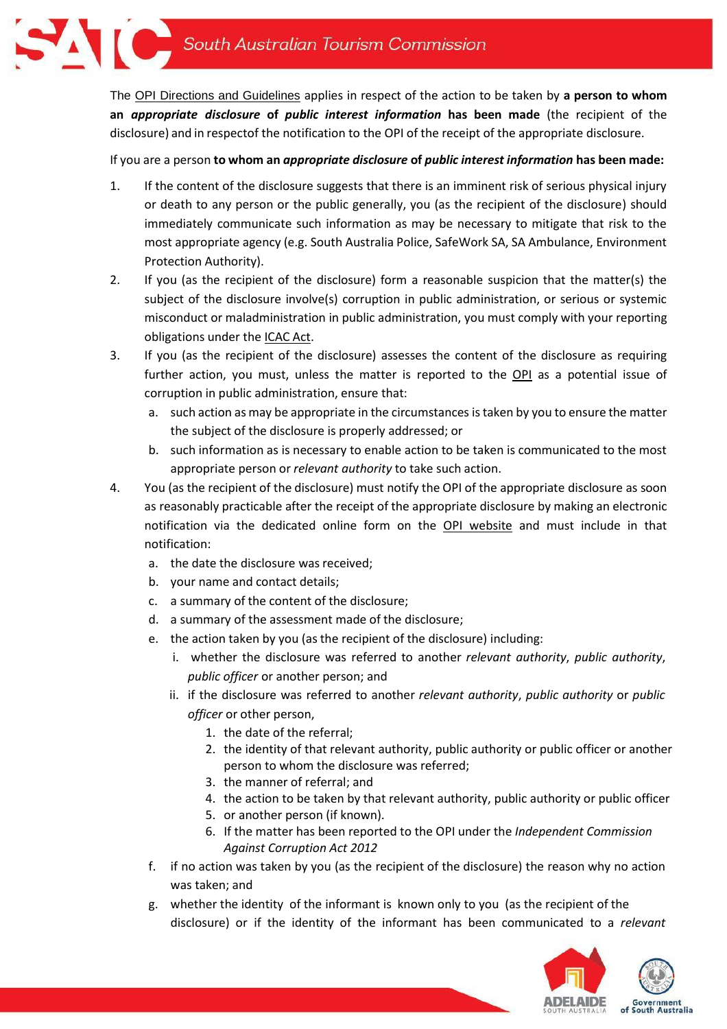The [OPI Directions and Guidelines](https://www.publicintegrity.sa.gov.au/directions-and-guidelines) applies in respect of the action to be taken by **a person to whom an** *appropriate disclosure* **of** *public interest information* **has been made** (the recipient of the disclosure) and in respectof the notification to the OPI of the receipt of the appropriate disclosure.

If you are a person **to whom an** *appropriate disclosure* **of** *public interest information* **has been made:**

- 1. If the content of the disclosure suggests that there is an imminent risk of serious physical injury or death to any person or the public generally, you (as the recipient of the disclosure) should immediately communicate such information as may be necessary to mitigate that risk to the most appropriate agency (e.g. South Australia Police, SafeWork SA, SA Ambulance, Environment Protection Authority).
- 2. If you (as the recipient of the disclosure) form a reasonable suspicion that the matter(s) the subject of the disclosure involve(s) corruption in public administration, or serious or systemic misconduct or maladministration in public administration, you must comply with your reporting obligations under the [ICAC](https://www.legislation.sa.gov.au/LZ/C/A/PUBLIC%20INTEREST%20DISCLOSURE%20ACT%202018.aspx) Act.
- 3. If you (as the recipient of the disclosure) assesses the content of the disclosure as requiring further action, you must, unless the matter is reported to the [OPI](https://www.publicintegrity.sa.gov.au/directions-and-guidelines) as a potential issue of corruption in public administration, ensure that:
	- a. such action as may be appropriate in the circumstances istaken by you to ensure the matter the subject of the disclosure is properly addressed; or
	- b. such information as is necessary to enable action to be taken is communicated to the most appropriate person or *relevant authority* to take such action.
- 4. You (as the recipient of the disclosure) must notify the OPI of the appropriate disclosure as soon as reasonably practicable after the receipt of the appropriate disclosure by making an electronic notification via the dedicated online form on the OPI [website](https://forms.sa.gov.au/#/form/603ec9b7ad9c5a1c60629117/app/619dcc454d43318d543210de) and must include in that notification:
	- a. the date the disclosure was received;
	- b. your name and contact details;
	- c. a summary of the content of the disclosure;
	- d. a summary of the assessment made of the disclosure;
	- e. the action taken by you (as the recipient of the disclosure) including:
		- i. whether the disclosure was referred to another *relevant authority*, *public authority*, *public officer* or another person; and
		- ii. if the disclosure was referred to another *relevant authority*, *public authority* or *public officer* or other person,
			- 1. the date of the referral;
			- 2. the identity of that relevant authority, public authority or public officer or another person to whom the disclosure was referred;
			- 3. the manner of referral; and
			- 4. the action to be taken by that relevant authority, public authority or public officer
			- 5. or another person (if known).
			- 6. If the matter has been reported to the OPI under the *Independent Commission Against Corruption Act 2012*
	- f. if no action was taken by you (as the recipient of the disclosure) the reason why no action was taken; and
	- g. whether the identity of the informant is known only to you (as the recipient of the disclosure) or if the identity of the informant has been communicated to a *relevant*

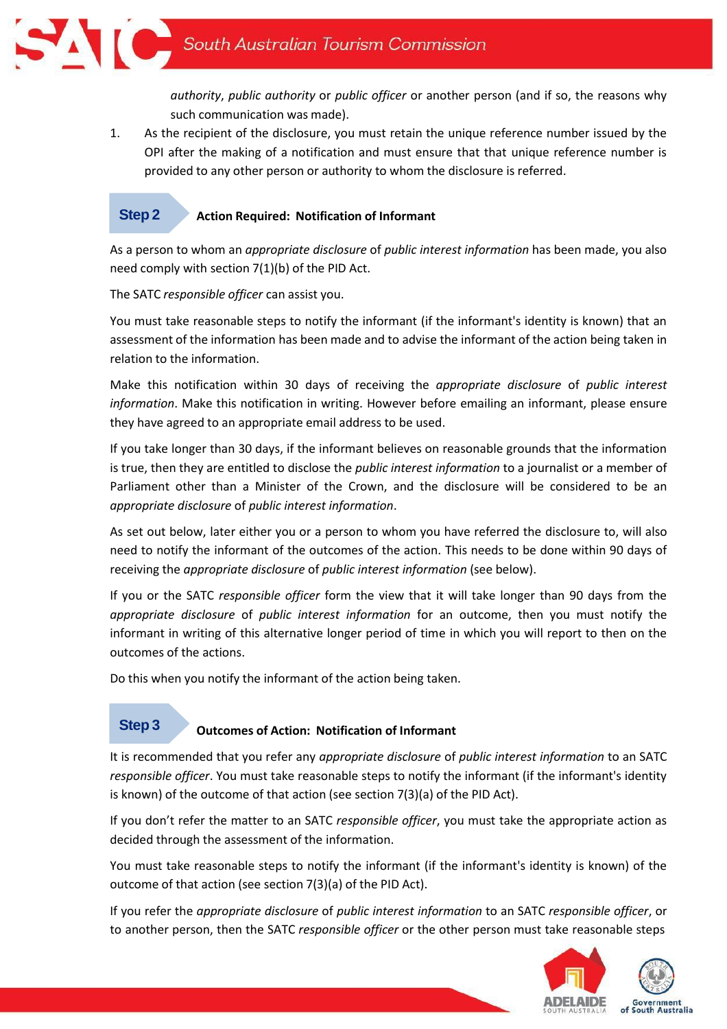*authority*, *public authority* or *public officer* or another person (and if so, the reasons why such communication was made).

1. As the recipient of the disclosure, you must retain the unique reference number issued by the OPI after the making of a notification and must ensure that that unique reference number is provided to any other person or authority to whom the disclosure is referred.

#### **Action Required: Notification of Informant Step 2**

As a person to whom an *appropriate disclosure* of *public interest information* has been made, you also need comply with section 7(1)(b) of the PID Act.

The SATC *responsible officer* can assist you.

You must take reasonable steps to notify the informant (if the informant's identity is known) that an assessment of the information has been made and to advise the informant of the action being taken in relation to the information.

Make this notification within 30 days of receiving the *appropriate disclosure* of *public interest information*. Make this notification in writing. However before emailing an informant, please ensure they have agreed to an appropriate email address to be used.

If you take longer than 30 days, if the informant believes on reasonable grounds that the information is true, then they are entitled to disclose the *public interest information* to a journalist or a member of Parliament other than a Minister of the Crown, and the disclosure will be considered to be an *appropriate disclosure* of *public interest information*.

As set out below, later either you or a person to whom you have referred the disclosure to, will also need to notify the informant of the outcomes of the action. This needs to be done within 90 days of receiving the *appropriate disclosure* of *public interest information* (see below).

If you or the SATC *responsible officer* form the view that it will take longer than 90 days from the *appropriate disclosure* of *public interest information* for an outcome, then you must notify the informant in writing of this alternative longer period of time in which you will report to then on the outcomes of the actions.

Do this when you notify the informant of the action being taken.

# **Step 3**

# **Outcomes of Action: Notification of Informant**

It is recommended that you refer any *appropriate disclosure* of *public interest information* to an SATC *responsible officer*. You must take reasonable steps to notify the informant (if the informant's identity is known) of the outcome of that action (see section 7(3)(a) of the PID Act).

If you don't refer the matter to an SATC *responsible officer*, you must take the appropriate action as decided through the assessment of the information.

You must take reasonable steps to notify the informant (if the informant's identity is known) of the outcome of that action (see section 7(3)(a) of the PID Act).

If you refer the *appropriate disclosure* of *public interest information* to an SATC *responsible officer*, or to another person, then the SATC *responsible officer* or the other person must take reasonable steps

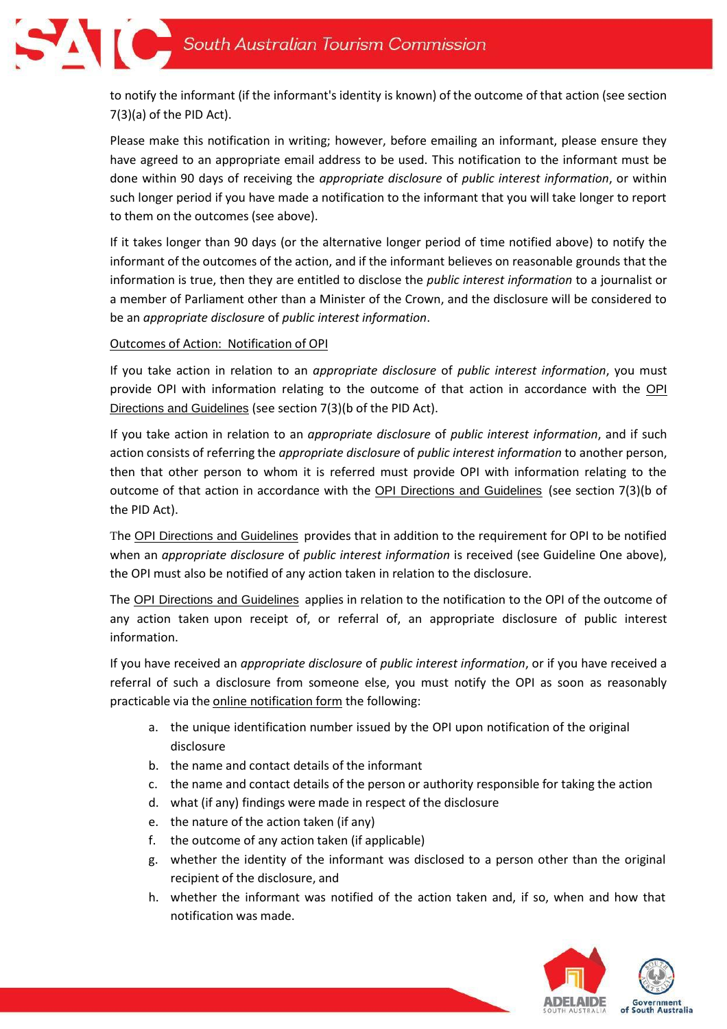

to notify the informant (if the informant's identity is known) of the outcome of that action (see section 7(3)(a) of the PID Act).

Please make this notification in writing; however, before emailing an informant, please ensure they have agreed to an appropriate email address to be used. This notification to the informant must be done within 90 days of receiving the *appropriate disclosure* of *public interest information*, or within such longer period if you have made a notification to the informant that you will take longer to report to them on the outcomes (see above).

If it takes longer than 90 days (or the alternative longer period of time notified above) to notify the informant of the outcomes of the action, and if the informant believes on reasonable grounds that the information is true, then they are entitled to disclose the *public interest information* to a journalist or a member of Parliament other than a Minister of the Crown, and the disclosure will be considered to be an *appropriate disclosure* of *public interest information*.

# Outcomes of Action: Notification of OPI

If you take action in relation to an *appropriate disclosure* of *public interest information*, you must provide [OPI](https://www.publicintegrity.sa.gov.au/directions-and-guidelines) with information relating to the outcome of that action in accordance with the OPI [Directions and Guidelines](https://www.publicintegrity.sa.gov.au/directions-and-guidelines) (see section 7(3)(b of the PID Act).

If you take action in relation to an *appropriate disclosure* of *public interest information*, and if such action consists of referring the *appropriate disclosure* of *public interest information* to another person, then that other person to whom it is referred must provide OPI with information relating to the outcome of that action in accordance with the [OPI Directions and Guidelines](https://www.publicintegrity.sa.gov.au/directions-and-guidelines) (see section 7(3)(b of the PID Act).

The [OPI Directions and Guidelines](https://www.publicintegrity.sa.gov.au/directions-and-guidelines) provides that in addition to the requirement for OPI to be notified when an *appropriate disclosure* of *public interest information* is received (see Guideline One above), the OPI must also be notified of any action taken in relation to the disclosure.

The [OPI Directions and Guidelines](https://www.publicintegrity.sa.gov.au/directions-and-guidelines) applies in relation to the notification to the OPI of the outcome of any action taken upon receipt of, or referral of, an appropriate disclosure of public interest information.

If you have received an *appropriate disclosure* of *public interest information*, or if you have received a referral of such a disclosure from someone else, you must notify the OPI as soon as reasonably practicable via the online [notification](https://forms.sa.gov.au/#/form/603ec9b7ad9c5a1c60629117/page/20/app/619dcc454d43318d543210de) form the following:

- a. the unique identification number issued by the OPI upon notification of the original disclosure
- b. the name and contact details of the informant
- c. the name and contact details of the person or authority responsible for taking the action
- d. what (if any) findings were made in respect of the disclosure
- e. the nature of the action taken (if any)
- f. the outcome of any action taken (if applicable)
- g. whether the identity of the informant was disclosed to a person other than the original recipient of the disclosure, and
- h. whether the informant was notified of the action taken and, if so, when and how that notification was made.

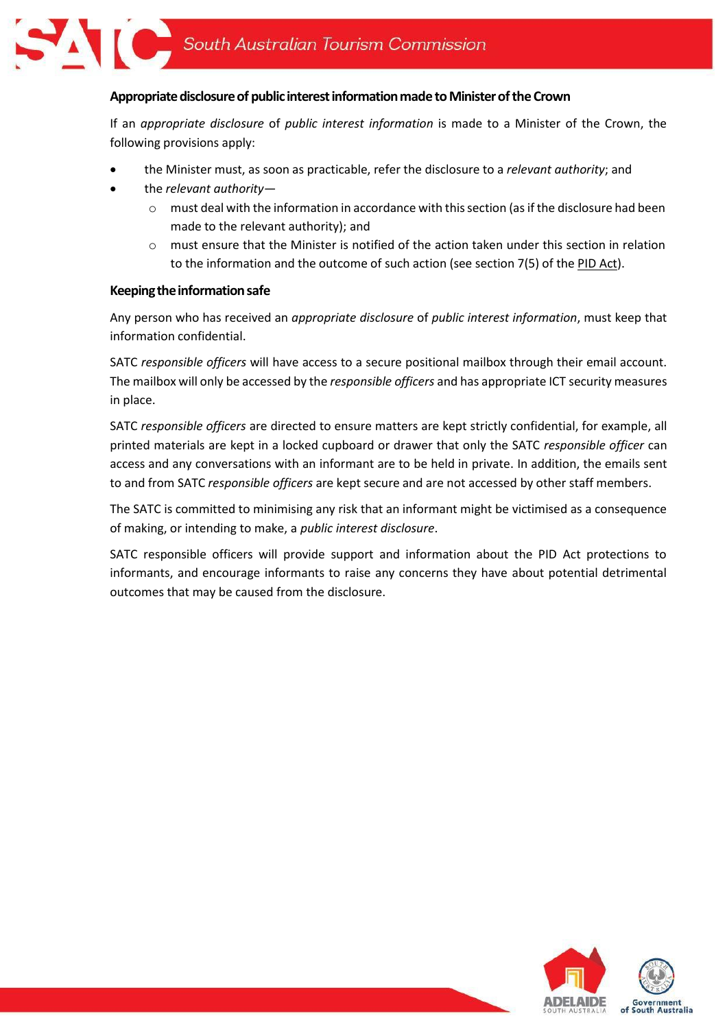

## Appropriate disclosure of public interest information made to Minister of the Crown

If an *appropriate disclosure* of *public interest information* is made to a Minister of the Crown, the following provisions apply:

- the Minister must, as soon as practicable, refer the disclosure to a *relevant authority*; and
- the *relevant authority*
	- $\circ$  must deal with the information in accordance with this section (as if the disclosure had been made to the relevant authority); and
	- $\circ$  must ensure that the Minister is notified of the action taken under this section in relation to the information and the outcome of such action (see section 7(5) of the PID [Act\)](https://www.legislation.sa.gov.au/LZ/C/A/PUBLIC%20INTEREST%20DISCLOSURE%20ACT%202018.aspx).

#### **Keepingtheinformationsafe**

Any person who has received an *appropriate disclosure* of *public interest information*, must keep that information confidential.

SATC *responsible officers* will have access to a secure positional mailbox through their email account. The mailbox will only be accessed by the *responsible officers* and has appropriate ICT security measures in place.

SATC *responsible officers* are directed to ensure matters are kept strictly confidential, for example, all printed materials are kept in a locked cupboard or drawer that only the SATC *responsible officer* can access and any conversations with an informant are to be held in private. In addition, the emails sent to and from SATC *responsible officers* are kept secure and are not accessed by other staff members.

The SATC is committed to minimising any risk that an informant might be victimised as a consequence of making, or intending to make, a *public interest disclosure*.

SATC responsible officers will provide support and information about the PID Act protections to informants, and encourage informants to raise any concerns they have about potential detrimental outcomes that may be caused from the disclosure.